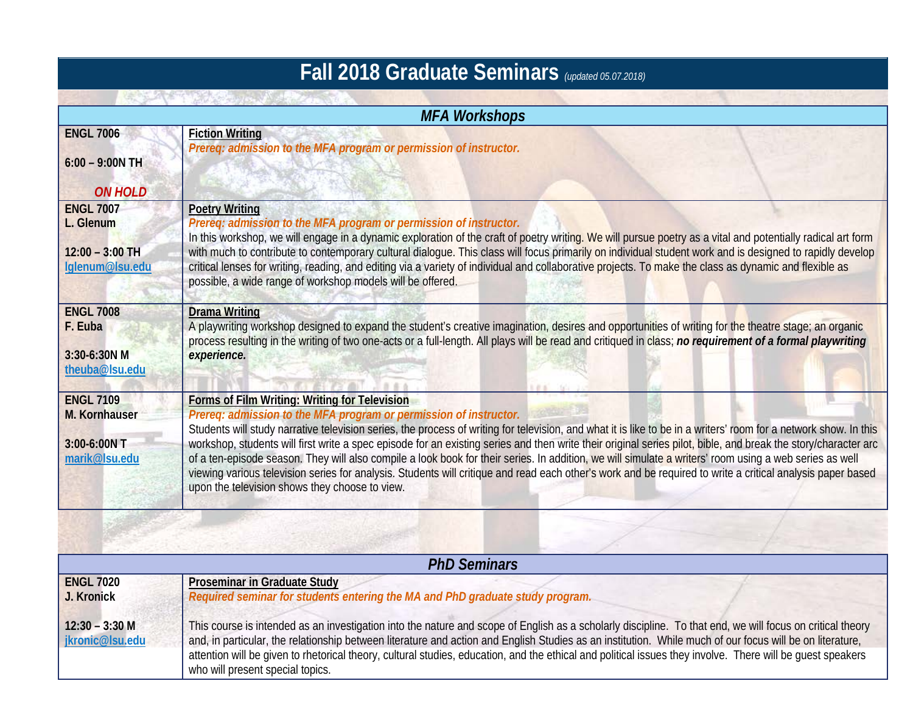| <b>Fall 2018 Graduate Seminars</b> (updated 05.07.2018)               |                                                                                                                                                                                                                                                                                                                                                                                                                                                                                                                                                                                                                                                                                                                                                                                                                                    |  |
|-----------------------------------------------------------------------|------------------------------------------------------------------------------------------------------------------------------------------------------------------------------------------------------------------------------------------------------------------------------------------------------------------------------------------------------------------------------------------------------------------------------------------------------------------------------------------------------------------------------------------------------------------------------------------------------------------------------------------------------------------------------------------------------------------------------------------------------------------------------------------------------------------------------------|--|
|                                                                       |                                                                                                                                                                                                                                                                                                                                                                                                                                                                                                                                                                                                                                                                                                                                                                                                                                    |  |
| <b>ENGL 7006</b><br>$6:00 - 9:00N$ TH<br><b>ON HOLD</b>               | <b>Fiction Writing</b><br>Prereq: admission to the MFA program or permission of instructor.                                                                                                                                                                                                                                                                                                                                                                                                                                                                                                                                                                                                                                                                                                                                        |  |
| <b>ENGL 7007</b><br>L. Glenum<br>$12:00 - 3:00$ TH<br>lglenum@lsu.edu | <b>Poetry Writing</b><br>Prereq: admission to the MFA program or permission of instructor.<br>In this workshop, we will engage in a dynamic exploration of the craft of poetry writing. We will pursue poetry as a vital and potentially radical art form<br>with much to contribute to contemporary cultural dialogue. This class will focus primarily on individual student work and is designed to rapidly develop<br>critical lenses for writing, reading, and editing via a variety of individual and collaborative projects. To make the class as dynamic and flexible as<br>possible, a wide range of workshop models will be offered.                                                                                                                                                                                      |  |
| <b>ENGL 7008</b><br>F. Euba<br>3:30-6:30N M<br>theuba@lsu.edu         | <b>Drama Writing</b><br>A playwriting workshop designed to expand the student's creative imagination, desires and opportunities of writing for the theatre stage; an organic<br>process resulting in the writing of two one-acts or a full-length. All plays will be read and critiqued in class; no requirement of a formal playwriting<br>experience.                                                                                                                                                                                                                                                                                                                                                                                                                                                                            |  |
| <b>ENGL 7109</b><br>M. Kornhauser<br>3:00-6:00N T<br>marik@Isu.edu    | Forms of Film Writing: Writing for Television<br>Prereq: admission to the MFA program or permission of instructor.<br>Students will study narrative television series, the process of writing for television, and what it is like to be in a writers' room for a network show. In this<br>workshop, students will first write a spec episode for an existing series and then write their original series pilot, bible, and break the story/character arc<br>of a ten-episode season. They will also compile a look book for their series. In addition, we will simulate a writers' room using a web series as well<br>viewing various television series for analysis. Students will critique and read each other's work and be required to write a critical analysis paper based<br>upon the television shows they choose to view. |  |
|                                                                       |                                                                                                                                                                                                                                                                                                                                                                                                                                                                                                                                                                                                                                                                                                                                                                                                                                    |  |

| <b>PhD Seminars</b>                 |                                                                                                                                                                                                                                                                                                                                                                                                                                                                                     |  |
|-------------------------------------|-------------------------------------------------------------------------------------------------------------------------------------------------------------------------------------------------------------------------------------------------------------------------------------------------------------------------------------------------------------------------------------------------------------------------------------------------------------------------------------|--|
| <b>ENGL 7020</b><br>J. Kronick      | <b>Proseminar in Graduate Study</b><br>Required seminar for students entering the MA and PhD graduate study program.                                                                                                                                                                                                                                                                                                                                                                |  |
| $12:30 - 3:30$ M<br>jkronic@lsu.edu | This course is intended as an investigation into the nature and scope of English as a scholarly discipline. To that end, we will focus on critical theory<br>and, in particular, the relationship between literature and action and English Studies as an institution. While much of our focus will be on literature,<br>attention will be given to rhetorical theory, cultural studies, education, and the ethical and political issues they involve. There will be quest speakers |  |
|                                     | who will present special topics.                                                                                                                                                                                                                                                                                                                                                                                                                                                    |  |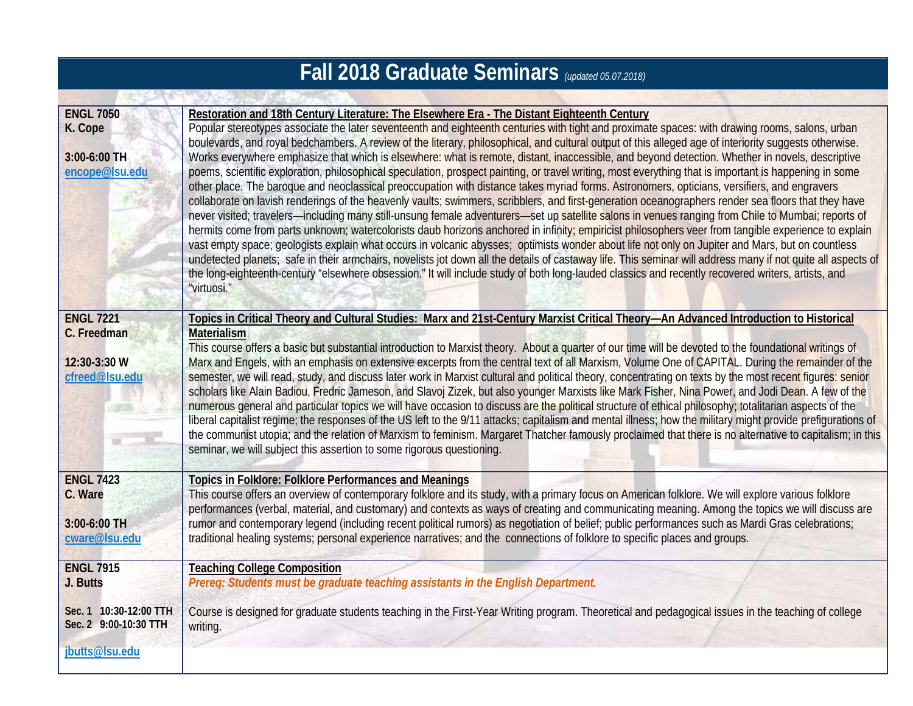## **Fall 2018 Graduate Seminars** *(updated 05.07.2018)*

| <b>ENGL 7050</b><br>K. Cope<br>3:00-6:00 TH<br>encope@lsu.edu     | Restoration and 18th Century Literature: The Elsewhere Era - The Distant Eighteenth Century<br>Popular stereotypes associate the later seventeenth and eighteenth centuries with tight and proximate spaces: with drawing rooms, salons, urban<br>boulevards, and royal bedchambers. A review of the literary, philosophical, and cultural output of this alleged age of interiority suggests otherwise.<br>Works everywhere emphasize that which is elsewhere: what is remote, distant, inaccessible, and beyond detection. Whether in novels, descriptive<br>poems, scientific exploration, philosophical speculation, prospect painting, or travel writing, most everything that is important is happening in some<br>other place. The baroque and neoclassical preoccupation with distance takes myriad forms. Astronomers, opticians, versifiers, and engravers<br>collaborate on lavish renderings of the heavenly vaults; swimmers, scribblers, and first-generation oceanographers render sea floors that they have<br>never visited; travelers—including many still-unsung female adventurers—set up satellite salons in venues ranging from Chile to Mumbai; reports of<br>hermits come from parts unknown; watercolorists daub horizons anchored in infinity; empiricist philosophers veer from tangible experience to explain<br>vast empty space; geologists explain what occurs in volcanic abysses; optimists wonder about life not only on Jupiter and Mars, but on countless<br>undetected planets; safe in their armchairs, novelists jot down all the details of castaway life. This seminar will address many if not quite all aspects of<br>the long-eighteenth-century "elsewhere obsession." It will include study of both long-lauded classics and recently recovered writers, artists, and<br>"virtuosi." |
|-------------------------------------------------------------------|------------------------------------------------------------------------------------------------------------------------------------------------------------------------------------------------------------------------------------------------------------------------------------------------------------------------------------------------------------------------------------------------------------------------------------------------------------------------------------------------------------------------------------------------------------------------------------------------------------------------------------------------------------------------------------------------------------------------------------------------------------------------------------------------------------------------------------------------------------------------------------------------------------------------------------------------------------------------------------------------------------------------------------------------------------------------------------------------------------------------------------------------------------------------------------------------------------------------------------------------------------------------------------------------------------------------------------------------------------------------------------------------------------------------------------------------------------------------------------------------------------------------------------------------------------------------------------------------------------------------------------------------------------------------------------------------------------------------------------------------------------------------------------------------------------------------------------|
| <b>ENGL 7221</b><br>C. Freedman<br>12:30-3:30 W<br>cfreed@lsu.edu | Topics in Critical Theory and Cultural Studies: Marx and 21st-Century Marxist Critical Theory-An Advanced Introduction to Historical<br><b>Materialism</b><br>This course offers a basic but substantial introduction to Marxist theory. About a quarter of our time will be devoted to the foundational writings of<br>Marx and Engels, with an emphasis on extensive excerpts from the central text of all Marxism, Volume One of CAPITAL. During the remainder of the<br>semester, we will read, study, and discuss later work in Marxist cultural and political theory, concentrating on texts by the most recent figures: senior<br>scholars like Alain Badiou, Fredric Jameson, and Slavoj Zizek, but also younger Marxists like Mark Fisher, Nina Power, and Jodi Dean. A few of the<br>numerous general and particular topics we will have occasion to discuss are the political structure of ethical philosophy; totalitarian aspects of the<br>liberal capitalist regime; the responses of the US left to the 9/11 attacks; capitalism and mental illness; how the military might provide prefigurations of<br>the communist utopia; and the relation of Marxism to feminism. Margaret Thatcher famously proclaimed that there is no alternative to capitalism; in this<br>seminar, we will subject this assertion to some rigorous questioning.                                                                                                                                                                                                                                                                                                                                                                                                                                                                         |
| <b>ENGL 7423</b><br>C. Ware<br>3:00-6:00 TH<br>cware@Isu.edu      | <b>Topics in Folklore: Folklore Performances and Meanings</b><br>This course offers an overview of contemporary folklore and its study, with a primary focus on American folklore. We will explore various folklore<br>performances (verbal, material, and customary) and contexts as ways of creating and communicating meaning. Among the topics we will discuss are<br>rumor and contemporary legend (including recent political rumors) as negotiation of belief; public performances such as Mardi Gras celebrations;<br>traditional healing systems; personal experience narratives; and the connections of folklore to specific places and groups.                                                                                                                                                                                                                                                                                                                                                                                                                                                                                                                                                                                                                                                                                                                                                                                                                                                                                                                                                                                                                                                                                                                                                                          |
| <b>ENGL 7915</b><br>J. Butts                                      | <b>Teaching College Composition</b><br>Prereq: Students must be graduate teaching assistants in the English Department.                                                                                                                                                                                                                                                                                                                                                                                                                                                                                                                                                                                                                                                                                                                                                                                                                                                                                                                                                                                                                                                                                                                                                                                                                                                                                                                                                                                                                                                                                                                                                                                                                                                                                                            |
| Sec. 1 10:30-12:00 TTH<br>Sec. 2 9:00-10:30 TTH<br>jbutts@lsu.edu | Course is designed for graduate students teaching in the First-Year Writing program. Theoretical and pedagogical issues in the teaching of college<br>writing.                                                                                                                                                                                                                                                                                                                                                                                                                                                                                                                                                                                                                                                                                                                                                                                                                                                                                                                                                                                                                                                                                                                                                                                                                                                                                                                                                                                                                                                                                                                                                                                                                                                                     |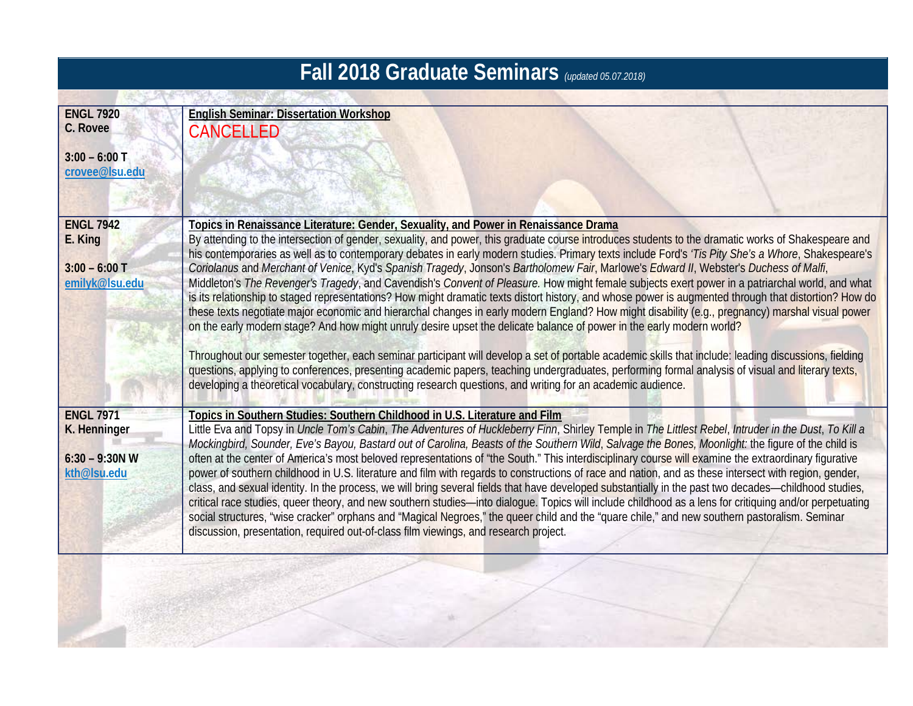## **Fall 2018 Graduate Seminars** *(updated 05.07.2018)*

| <b>ENGL 7920</b> | <b>English Seminar: Dissertation Workshop</b>                                                                                                                                                                                              |
|------------------|--------------------------------------------------------------------------------------------------------------------------------------------------------------------------------------------------------------------------------------------|
| C. Rovee         |                                                                                                                                                                                                                                            |
|                  | <b>CANCELLED</b>                                                                                                                                                                                                                           |
| $3:00 - 6:00$ T  |                                                                                                                                                                                                                                            |
| crovee@Isu.edu   |                                                                                                                                                                                                                                            |
|                  |                                                                                                                                                                                                                                            |
|                  |                                                                                                                                                                                                                                            |
| <b>ENGL 7942</b> |                                                                                                                                                                                                                                            |
|                  | Topics in Renaissance Literature: Gender, Sexuality, and Power in Renaissance Drama<br>By attending to the intersection of gender, sexuality, and power, this graduate course introduces students to the dramatic works of Shakespeare and |
| E. King          | his contemporaries as well as to contemporary debates in early modern studies. Primary texts include Ford's 'Tis Pity She's a Whore, Shakespeare's                                                                                         |
| $3:00 - 6:00$ T  | Coriolanus and Merchant of Venice, Kyd's Spanish Tragedy, Jonson's Bartholomew Fair, Marlowe's Edward II, Webster's Duchess of Malfi,                                                                                                      |
| emilyk@lsu.edu   | Middleton's The Revenger's Tragedy, and Cavendish's Convent of Pleasure. How might female subjects exert power in a patriarchal world, and what                                                                                            |
|                  | is its relationship to staged representations? How might dramatic texts distort history, and whose power is augmented through that distortion? How do                                                                                      |
|                  | these texts negotiate major economic and hierarchal changes in early modern England? How might disability (e.g., pregnancy) marshal visual power                                                                                           |
|                  | on the early modern stage? And how might unruly desire upset the delicate balance of power in the early modern world?                                                                                                                      |
|                  |                                                                                                                                                                                                                                            |
|                  | Throughout our semester together, each seminar participant will develop a set of portable academic skills that include: leading discussions, fielding                                                                                      |
|                  | questions, applying to conferences, presenting academic papers, teaching undergraduates, performing formal analysis of visual and literary texts,                                                                                          |
|                  | developing a theoretical vocabulary, constructing research questions, and writing for an academic audience.                                                                                                                                |
| <b>ENGL 7971</b> |                                                                                                                                                                                                                                            |
| K. Henninger     | Topics in Southern Studies: Southern Childhood in U.S. Literature and Film<br>Little Eva and Topsy in Uncle Tom's Cabin, The Adventures of Huckleberry Finn, Shirley Temple in The Littlest Rebel, Intruder in the Dust, To Kill a         |
|                  | Mockingbird, Sounder, Eve's Bayou, Bastard out of Carolina, Beasts of the Southern Wild, Salvage the Bones, Moonlight: the figure of the child is                                                                                          |
| $6:30 - 9:30N$ W | often at the center of America's most beloved representations of "the South." This interdisciplinary course will examine the extraordinary figurative                                                                                      |
| kth@lsu.edu      | power of southern childhood in U.S. literature and film with regards to constructions of race and nation, and as these intersect with region, gender,                                                                                      |
|                  | class, and sexual identity. In the process, we will bring several fields that have developed substantially in the past two decades—childhood studies,                                                                                      |
|                  | critical race studies, queer theory, and new southern studies-into dialogue. Topics will include childhood as a lens for critiquing and/or perpetuating                                                                                    |
|                  | social structures, "wise cracker" orphans and "Magical Negroes," the queer child and the "quare chile," and new southern pastoralism. Seminar                                                                                              |
|                  | discussion, presentation, required out-of-class film viewings, and research project.                                                                                                                                                       |
|                  |                                                                                                                                                                                                                                            |
|                  |                                                                                                                                                                                                                                            |
|                  |                                                                                                                                                                                                                                            |
|                  |                                                                                                                                                                                                                                            |
|                  |                                                                                                                                                                                                                                            |
|                  |                                                                                                                                                                                                                                            |

army Set (20)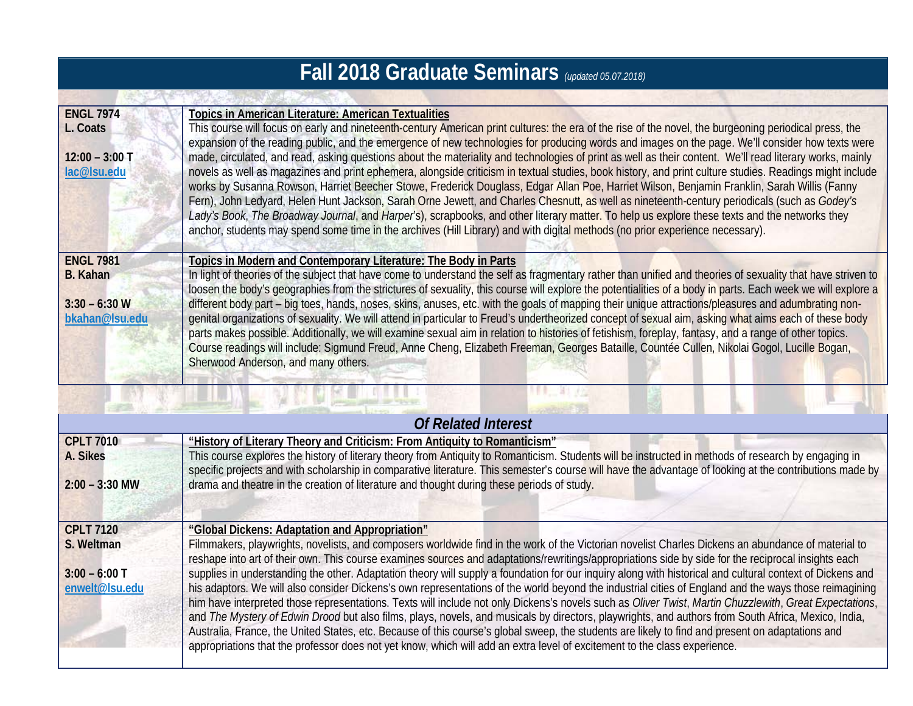## **Fall 2018 Graduate Seminars** *(updated 05.07.2018)*

| <b>ENGL 7974</b><br>L. Coats<br>$12:00 - 3:00$ T<br>lac@lsu.edu          | <b>Topics in American Literature: American Textualities</b><br>This course will focus on early and nineteenth-century American print cultures: the era of the rise of the novel, the burgeoning periodical press, the<br>expansion of the reading public, and the emergence of new technologies for producing words and images on the page. We'll consider how texts were<br>made, circulated, and read, asking questions about the materiality and technologies of print as well as their content. We'll read literary works, mainly<br>novels as well as magazines and print ephemera, alongside criticism in textual studies, book history, and print culture studies. Readings might include<br>works by Susanna Rowson, Harriet Beecher Stowe, Frederick Douglass, Edgar Allan Poe, Harriet Wilson, Benjamin Franklin, Sarah Willis (Fanny<br>Fern), John Ledyard, Helen Hunt Jackson, Sarah Orne Jewett, and Charles Chesnutt, as well as nineteenth-century periodicals (such as Godey's<br>Lady's Book, The Broadway Journal, and Harper's), scrapbooks, and other literary matter. To help us explore these texts and the networks they<br>anchor, students may spend some time in the archives (Hill Library) and with digital methods (no prior experience necessary).   |
|--------------------------------------------------------------------------|-------------------------------------------------------------------------------------------------------------------------------------------------------------------------------------------------------------------------------------------------------------------------------------------------------------------------------------------------------------------------------------------------------------------------------------------------------------------------------------------------------------------------------------------------------------------------------------------------------------------------------------------------------------------------------------------------------------------------------------------------------------------------------------------------------------------------------------------------------------------------------------------------------------------------------------------------------------------------------------------------------------------------------------------------------------------------------------------------------------------------------------------------------------------------------------------------------------------------------------------------------------------------------------|
| <b>ENGL 7981</b><br><b>B.</b> Kahan<br>$3:30 - 6:30$ W<br>bkahan@lsu.edu | Topics in Modern and Contemporary Literature: The Body in Parts<br>In light of theories of the subject that have come to understand the self as fragmentary rather than unified and theories of sexuality that have striven to<br>loosen the body's geographies from the strictures of sexuality, this course will explore the potentialities of a body in parts. Each week we will explore a<br>different body part – big toes, hands, noses, skins, anuses, etc. with the goals of mapping their unique attractions/pleasures and adumbrating non-<br>genital organizations of sexuality. We will attend in particular to Freud's undertheorized concept of sexual aim, asking what aims each of these body<br>parts makes possible. Additionally, we will examine sexual aim in relation to histories of fetishism, foreplay, fantasy, and a range of other topics.<br>Course readings will include: Sigmund Freud, Anne Cheng, Elizabeth Freeman, Georges Bataille, Countée Cullen, Nikolai Gogol, Lucille Bogan,<br>Sherwood Anderson, and many others.                                                                                                                                                                                                                        |
|                                                                          |                                                                                                                                                                                                                                                                                                                                                                                                                                                                                                                                                                                                                                                                                                                                                                                                                                                                                                                                                                                                                                                                                                                                                                                                                                                                                     |
|                                                                          | <b>Of Related Interest</b>                                                                                                                                                                                                                                                                                                                                                                                                                                                                                                                                                                                                                                                                                                                                                                                                                                                                                                                                                                                                                                                                                                                                                                                                                                                          |
| <b>CPLT 7010</b><br>A. Sikes<br>$2:00 - 3:30$ MW                         | "History of Literary Theory and Criticism: From Antiquity to Romanticism"<br>This course explores the history of literary theory from Antiquity to Romanticism. Students will be instructed in methods of research by engaging in<br>specific projects and with scholarship in comparative literature. This semester's course will have the advantage of looking at the contributions made by<br>drama and theatre in the creation of literature and thought during these periods of study.                                                                                                                                                                                                                                                                                                                                                                                                                                                                                                                                                                                                                                                                                                                                                                                         |
| <b>CPLT 7120</b><br>S. Weltman<br>$3:00 - 6:00$ T<br>enwelt@lsu.edu      | "Global Dickens: Adaptation and Appropriation"<br>Filmmakers, playwrights, novelists, and composers worldwide find in the work of the Victorian novelist Charles Dickens an abundance of material to<br>reshape into art of their own. This course examines sources and adaptations/rewritings/appropriations side by side for the reciprocal insights each<br>supplies in understanding the other. Adaptation theory will supply a foundation for our inquiry along with historical and cultural context of Dickens and<br>his adaptors. We will also consider Dickens's own representations of the world beyond the industrial cities of England and the ways those reimagining<br>him have interpreted those representations. Texts will include not only Dickens's novels such as Oliver Twist, Martin Chuzzlewith, Great Expectations,<br>and The Mystery of Edwin Drood but also films, plays, novels, and musicals by directors, playwrights, and authors from South Africa, Mexico, India,<br>Australia, France, the United States, etc. Because of this course's global sweep, the students are likely to find and present on adaptations and<br>appropriations that the professor does not yet know, which will add an extra level of excitement to the class experience. |